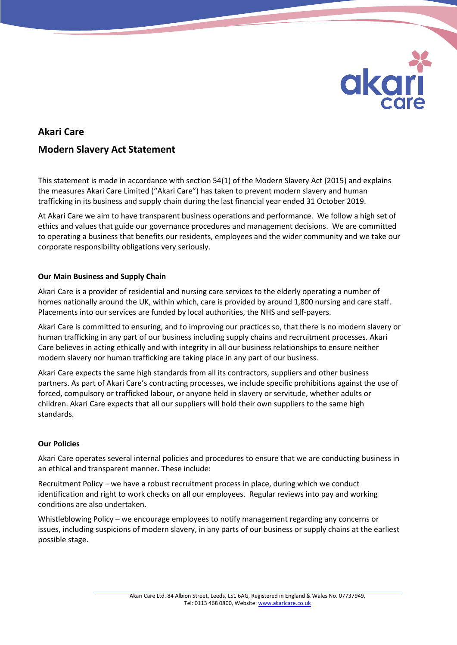

# **Akari Care Modern Slavery Act Statement**

This statement is made in accordance with section 54(1) of the Modern Slavery Act (2015) and explains the measures Akari Care Limited ("Akari Care") has taken to prevent modern slavery and human trafficking in its business and supply chain during the last financial year ended 31 October 2019.

At Akari Care we aim to have transparent business operations and performance. We follow a high set of ethics and values that guide our governance procedures and management decisions. We are committed to operating a business that benefits our residents, employees and the wider community and we take our corporate responsibility obligations very seriously.

# **Our Main Business and Supply Chain**

Akari Care is a provider of residential and nursing care services to the elderly operating a number of homes nationally around the UK, within which, care is provided by around 1,800 nursing and care staff. Placements into our services are funded by local authorities, the NHS and self-payers.

Akari Care is committed to ensuring, and to improving our practices so, that there is no modern slavery or human trafficking in any part of our business including supply chains and recruitment processes. Akari Care believes in acting ethically and with integrity in all our business relationships to ensure neither modern slavery nor human trafficking are taking place in any part of our business.

Akari Care expects the same high standards from all its contractors, suppliers and other business partners. As part of Akari Care's contracting processes, we include specific prohibitions against the use of forced, compulsory or trafficked labour, or anyone held in slavery or servitude, whether adults or children. Akari Care expects that all our suppliers will hold their own suppliers to the same high standards.

# **Our Policies**

Akari Care operates several internal policies and procedures to ensure that we are conducting business in an ethical and transparent manner. These include:

Recruitment Policy – we have a robust recruitment process in place, during which we conduct identification and right to work checks on all our employees. Regular reviews into pay and working conditions are also undertaken.

Whistleblowing Policy – we encourage employees to notify management regarding any concerns or issues, including suspicions of modern slavery, in any parts of our business or supply chains at the earliest possible stage.